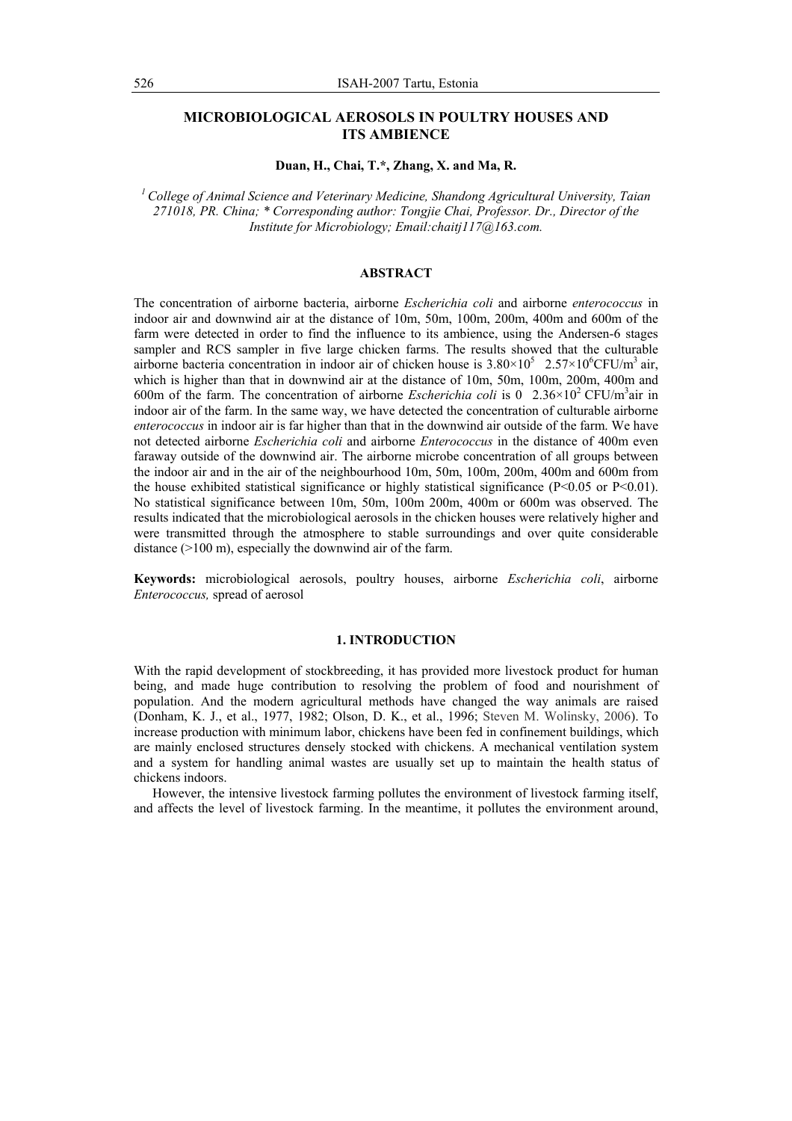# **MICROBIOLOGICAL AEROSOLS IN POULTRY HOUSES AND ITS AMBIENCE**

### **Duan, H., Chai, T.\*, Zhang, X. and Ma, R.**

*1 College of Animal Science and Veterinary Medicine, Shandong Agricultural University, Taian 271018, PR. China; \* Corresponding author: Tongjie Chai, Professor. Dr., Director of the Institute for Microbiology; Email:chaitj117@163.com.* 

## **ABSTRACT**

The concentration of airborne bacteria, airborne *Escherichia coli* and airborne *enterococcus* in indoor air and downwind air at the distance of 10m, 50m, 100m, 200m, 400m and 600m of the farm were detected in order to find the influence to its ambience, using the Andersen-6 stages sampler and RCS sampler in five large chicken farms. The results showed that the culturable airborne bacteria concentration in indoor air of chicken house is  $3.80 \times 10^5$  2.57×10<sup>6</sup>CFU/m<sup>3</sup> air, which is higher than that in downwind air at the distance of 10m, 50m, 100m, 200m, 400m and 600m of the farm. The concentration of airborne *Escherichia coli* is 0  $2.36 \times 10^2$  CFU/m<sup>3</sup>air in indoor air of the farm. In the same way, we have detected the concentration of culturable airborne *enterococcus* in indoor air is far higher than that in the downwind air outside of the farm. We have not detected airborne *Escherichia coli* and airborne *Enterococcus* in the distance of 400m even faraway outside of the downwind air. The airborne microbe concentration of all groups between the indoor air and in the air of the neighbourhood 10m, 50m, 100m, 200m, 400m and 600m from the house exhibited statistical significance or highly statistical significance ( $P<0.05$  or  $P<0.01$ ). No statistical significance between 10m, 50m, 100m 200m, 400m or 600m was observed. The results indicated that the microbiological aerosols in the chicken houses were relatively higher and were transmitted through the atmosphere to stable surroundings and over quite considerable distance (>100 m), especially the downwind air of the farm.

**Keywords:** microbiological aerosols, poultry houses, airborne *Escherichia coli*, airborne *Enterococcus,* spread of aerosol

### **1. INTRODUCTION**

With the rapid development of stockbreeding, it has provided more livestock product for human being, and made huge contribution to resolving the problem of food and nourishment of population. And the modern agricultural methods have changed the way animals are raised (Donham, K. J., et al., 1977, 1982; Olson, D. K., et al., 1996; Steven M. Wolinsky, 2006). To increase production with minimum labor, chickens have been fed in confinement buildings, which are mainly enclosed structures densely stocked with chickens. A mechanical ventilation system and a system for handling animal wastes are usually set up to maintain the health status of chickens indoors.

However, the intensive livestock farming pollutes the environment of livestock farming itself, and affects the level of livestock farming. In the meantime, it pollutes the environment around,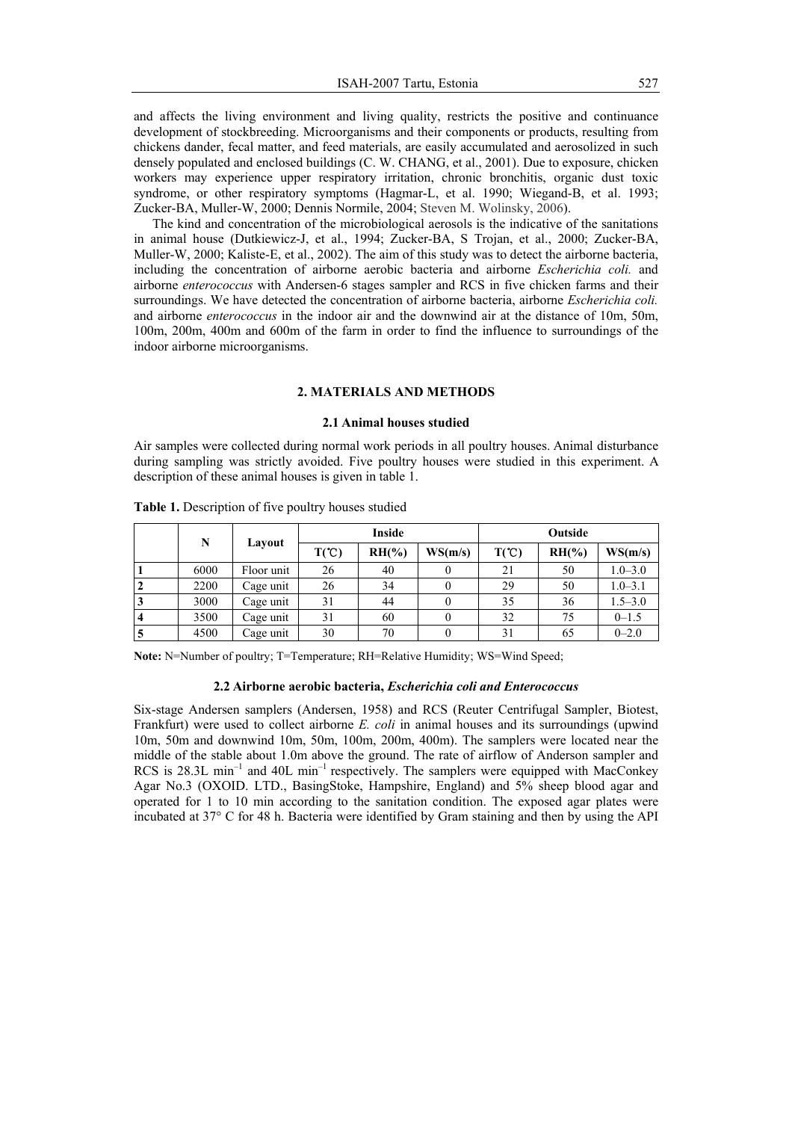and affects the living environment and living quality, restricts the positive and continuance development of stockbreeding. Microorganisms and their components or products, resulting from chickens dander, fecal matter, and feed materials, are easily accumulated and aerosolized in such densely populated and enclosed buildings (C. W. CHANG, et al., 2001). Due to exposure, chicken workers may experience upper respiratory irritation, chronic bronchitis, organic dust toxic syndrome, or other respiratory symptoms (Hagmar-L, et al. 1990; Wiegand-B, et al. 1993; Zucker-BA, Muller-W, 2000; Dennis Normile, 2004; Steven M. Wolinsky, 2006).

The kind and concentration of the microbiological aerosols is the indicative of the sanitations in animal house (Dutkiewicz-J, et al., 1994; Zucker-BA, S Trojan, et al., 2000; Zucker-BA, Muller-W, 2000; Kaliste-E, et al., 2002). The aim of this study was to detect the airborne bacteria, including the concentration of airborne aerobic bacteria and airborne *Escherichia coli.* and airborne *enterococcus* with Andersen-6 stages sampler and RCS in five chicken farms and their surroundings. We have detected the concentration of airborne bacteria, airborne *Escherichia coli.* and airborne *enterococcus* in the indoor air and the downwind air at the distance of 10m, 50m, 100m, 200m, 400m and 600m of the farm in order to find the influence to surroundings of the indoor airborne microorganisms.

## **2. MATERIALS AND METHODS**

## **2.1 Animal houses studied**

Air samples were collected during normal work periods in all poultry houses. Animal disturbance during sampling was strictly avoided. Five poultry houses were studied in this experiment. A description of these animal houses is given in table 1.

|                         | N    | Layout     |                  | Inside   |         | Outside          |           |             |  |
|-------------------------|------|------------|------------------|----------|---------|------------------|-----------|-------------|--|
|                         |      |            | $T(\mathcal{C})$ | $RH(\%)$ | WS(m/s) | $T(\mathcal{C})$ | $RH(Y_0)$ | WS(m/s)     |  |
|                         | 6000 | Floor unit | 26               | 40       |         | 21               | 50        | $1.0 - 3.0$ |  |
| $\overline{2}$          | 2200 | Cage unit  | 26               | 34       |         | 29               | 50        | $1.0 - 3.1$ |  |
| $\overline{\mathbf{3}}$ | 3000 | Cage unit  | 31               | 44       |         | 35               | 36        | $1.5 - 3.0$ |  |
| $\overline{4}$          | 3500 | Cage unit  | 31               | 60       |         | 32               | 75        | $0 - 1.5$   |  |
| $\overline{5}$          | 4500 | Cage unit  | 30               | 70       |         | 31               | 65        | $0 - 2.0$   |  |

**Table 1.** Description of five poultry houses studied

**Note:** N=Number of poultry; T=Temperature; RH=Relative Humidity; WS=Wind Speed;

## **2.2 Airborne aerobic bacteria,** *Escherichia coli and Enterococcus*

Six-stage Andersen samplers (Andersen, 1958) and RCS (Reuter Centrifugal Sampler, Biotest, Frankfurt) were used to collect airborne *E. coli* in animal houses and its surroundings (upwind 10m, 50m and downwind 10m, 50m, 100m, 200m, 400m). The samplers were located near the middle of the stable about 1.0m above the ground. The rate of airflow of Anderson sampler and RCS is  $28.3L \text{ min}^{-1}$  and  $40L \text{ min}^{-1}$  respectively. The samplers were equipped with MacConkey Agar No.3 (OXOID. LTD., BasingStoke, Hampshire, England) and 5% sheep blood agar and operated for 1 to 10 min according to the sanitation condition. The exposed agar plates were incubated at 37° C for 48 h. Bacteria were identified by Gram staining and then by using the API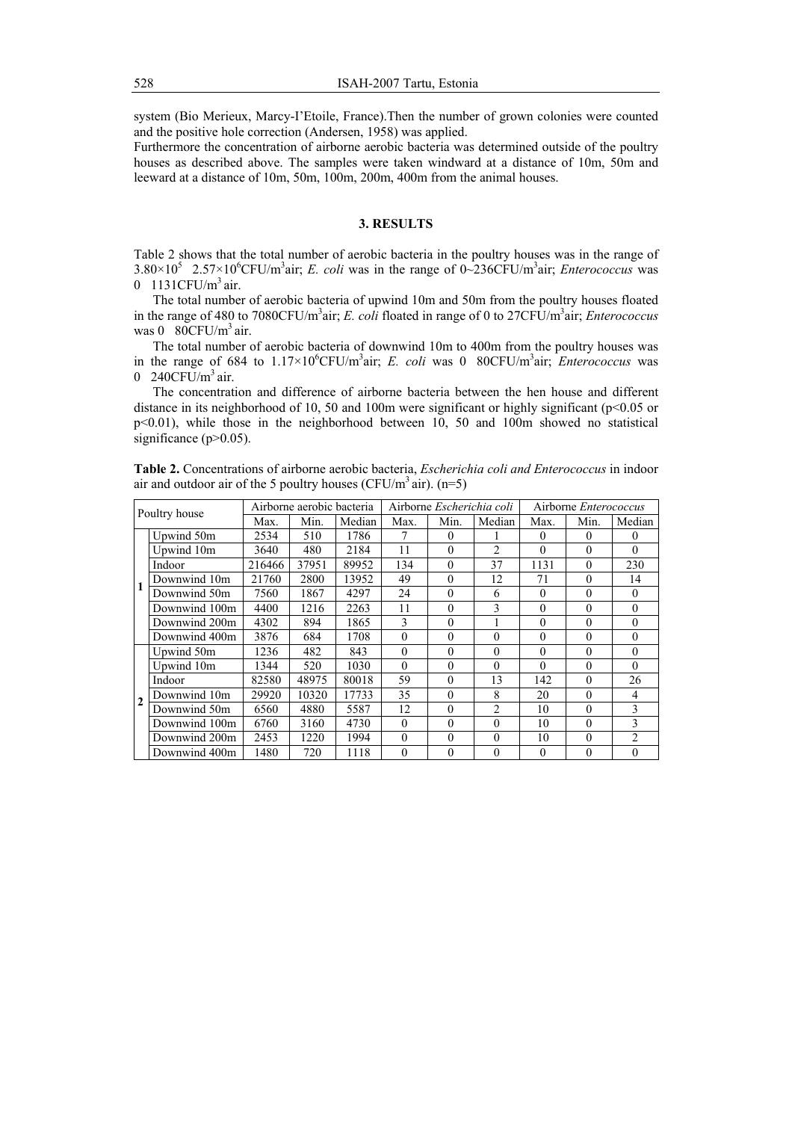system (Bio Merieux, Marcy-I'Etoile, France).Then the number of grown colonies were counted and the positive hole correction (Andersen, 1958) was applied.

Furthermore the concentration of airborne aerobic bacteria was determined outside of the poultry houses as described above. The samples were taken windward at a distance of 10m, 50m and leeward at a distance of 10m, 50m, 100m, 200m, 400m from the animal houses.

### **3. RESULTS**

Table 2 shows that the total number of aerobic bacteria in the poultry houses was in the range of  $3.80 \times 10^5$  2.57×10<sup>6</sup>CFU/m<sup>3</sup>air; *E. coli* was in the range of 0~236CFU/m<sup>3</sup>air; *Enterococcus* was 0 1131 $CFU/m<sup>3</sup>$ air.

The total number of aerobic bacteria of upwind 10m and 50m from the poultry houses floated in the range of 480 to 7080CFU/m<sup>3</sup>air; *E. coli* floated in range of 0 to 27CFU/m<sup>3</sup>air; *Enterococcus* was  $0.80$ CFU/m<sup>3</sup> air.

The total number of aerobic bacteria of downwind 10m to 400m from the poultry houses was in the range of 684 to  $1.17 \times 10^{6}$ CFU/m<sup>3</sup>air; *E. coli* was 0 80CFU/m<sup>3</sup>air; *Enterococcus* was  $0.240$ CFU/m<sup>3</sup> air.

The concentration and difference of airborne bacteria between the hen house and different distance in its neighborhood of 10, 50 and 100m were significant or highly significant (p<0.05 or  $p<0.01$ ), while those in the neighborhood between 10, 50 and 100m showed no statistical significance  $(p>0.05)$ .

| Poultry house  |               | Airborne aerobic bacteria |       |        |          | Airborne Escherichia coli |                | Airborne <i>Enterococcus</i> |          |                |
|----------------|---------------|---------------------------|-------|--------|----------|---------------------------|----------------|------------------------------|----------|----------------|
|                |               | Max.                      | Min.  | Median | Max.     | Min.                      | Median         | Max.                         | Min.     | Median         |
|                | Upwind 50m    | 2534                      | 510   | 1786   |          | 0                         |                | $\theta$                     | $\Omega$ | $\Omega$       |
|                | Upwind 10m    | 3640                      | 480   | 2184   | 11       | 0                         | $\mathfrak{D}$ | $\theta$                     | $\Omega$ | $\Omega$       |
|                | Indoor        | 216466                    | 37951 | 89952  | 134      | $\Omega$                  | 37             | 1131                         | $\Omega$ | 230            |
|                | Downwind 10m  | 21760                     | 2800  | 13952  | 49       | $\theta$                  | 12             | 71                           | $\theta$ | 14             |
|                | Downwind 50m  | 7560                      | 1867  | 4297   | 24       | 0                         | 6              | $\theta$                     | $\Omega$ | $\theta$       |
|                | Downwind 100m | 4400                      | 1216  | 2263   | 11       | $\theta$                  | 3              | $\theta$                     | $\theta$ | $\Omega$       |
|                | Downwind 200m | 4302                      | 894   | 1865   | 3        | $\theta$                  |                | $\theta$                     | $\Omega$ | $\Omega$       |
|                | Downwind 400m | 3876                      | 684   | 1708   | $\theta$ | 0                         | $\theta$       | $\theta$                     | $\theta$ | $\theta$       |
| $\overline{2}$ | Upwind 50m    | 1236                      | 482   | 843    | $\theta$ | $\theta$                  | $\theta$       | $\theta$                     | $\Omega$ | $\Omega$       |
|                | Upwind 10m    | 1344                      | 520   | 1030   | $\Omega$ | $\Omega$                  | $\theta$       | $\theta$                     | $\Omega$ | $\Omega$       |
|                | Indoor        | 82580                     | 48975 | 80018  | 59       | $\Omega$                  | 13             | 142                          | $\Omega$ | 26             |
|                | Downwind 10m  | 29920                     | 10320 | 17733  | 35       | $\Omega$                  | 8              | 20                           | $\Omega$ | 4              |
|                | Downwind 50m  | 6560                      | 4880  | 5587   | 12       | $\Omega$                  | $\mathfrak{D}$ | 10                           | $\Omega$ | 3              |
|                | Downwind 100m | 6760                      | 3160  | 4730   | $\Omega$ | $\Omega$                  | $\Omega$       | 10                           | $\Omega$ | 3              |
|                | Downwind 200m | 2453                      | 1220  | 1994   | $\Omega$ | 0                         | $\Omega$       | 10                           | $\Omega$ | $\mathfrak{D}$ |
|                | Downwind 400m | 1480                      | 720   | 1118   | $\theta$ | 0                         | $\theta$       | $\theta$                     | $\Omega$ | $\Omega$       |

**Table 2.** Concentrations of airborne aerobic bacteria, *Escherichia coli and Enterococcus* in indoor air and outdoor air of the 5 poultry houses (CFU/m<sup>3</sup> air). (n=5)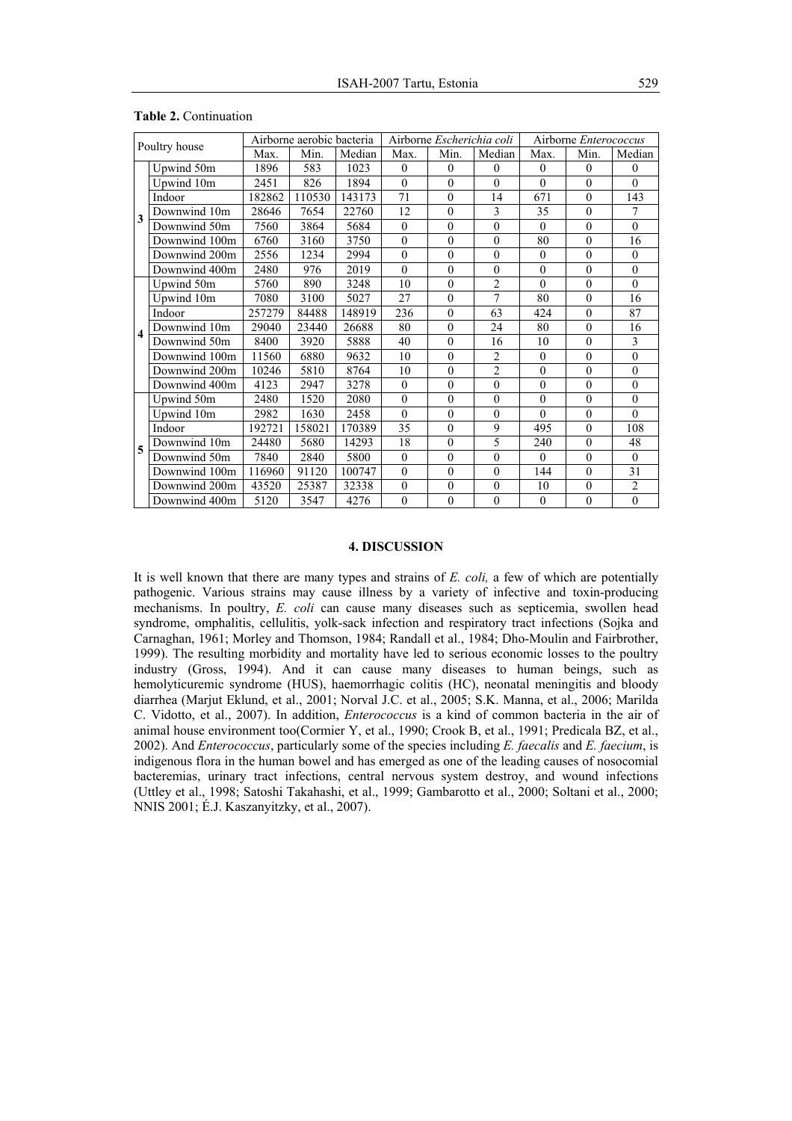| Poultry house           |               | Airborne aerobic bacteria |        |        |              | Airborne Escherichia coli |                | Airborne Enterococcus |          |                |
|-------------------------|---------------|---------------------------|--------|--------|--------------|---------------------------|----------------|-----------------------|----------|----------------|
|                         |               | Max.                      | Min.   | Median | Max.         | Min.                      | Median         | Max.                  | Min.     | Median         |
| 3                       | Upwind 50m    | 1896                      | 583    | 1023   | $\mathbf{0}$ | $\theta$                  | $\theta$       | $\theta$              | $\theta$ | $\theta$       |
|                         | Upwind 10m    | 2451                      | 826    | 1894   | $\mathbf{0}$ | $\theta$                  | $\theta$       | $\theta$              | $\theta$ | $\Omega$       |
|                         | Indoor        | 182862                    | 110530 | 143173 | 71           | $\theta$                  | 14             | 671                   | $\theta$ | 143            |
|                         | Downwind 10m  | 28646                     | 7654   | 22760  | 12           | $\theta$                  | 3              | 35                    | $\theta$ | $\overline{7}$ |
|                         | Downwind 50m  | 7560                      | 3864   | 5684   | $\mathbf{0}$ | $\theta$                  | $\mathbf{0}$   | $\mathbf{0}$          | $\theta$ | $\mathbf{0}$   |
|                         | Downwind 100m | 6760                      | 3160   | 3750   | $\mathbf{0}$ | $\theta$                  | $\theta$       | 80                    | $\theta$ | 16             |
|                         | Downwind 200m | 2556                      | 1234   | 2994   | $\theta$     | $\theta$                  | $\theta$       | $\mathbf{0}$          | $\theta$ | $\Omega$       |
|                         | Downwind 400m | 2480                      | 976    | 2019   | $\theta$     | $\theta$                  | $\mathbf{0}$   | $\mathbf{0}$          | $\theta$ | $\mathbf{0}$   |
|                         | Upwind 50m    | 5760                      | 890    | 3248   | 10           | $\theta$                  | $\overline{2}$ | $\theta$              | $\theta$ | $\Omega$       |
| $\overline{\mathbf{4}}$ | Upwind 10m    | 7080                      | 3100   | 5027   | 27           | $\theta$                  | $\overline{7}$ | 80                    | $\theta$ | 16             |
|                         | Indoor        | 257279                    | 84488  | 148919 | 236          | $\mathbf{0}$              | 63             | 424                   | $\theta$ | 87             |
|                         | Downwind 10m  | 29040                     | 23440  | 26688  | 80           | $\Omega$                  | 24             | 80                    | $\theta$ | 16             |
|                         | Downwind 50m  | 8400                      | 3920   | 5888   | 40           | $\theta$                  | 16             | 10                    | $\theta$ | 3              |
|                         | Downwind 100m | 11560                     | 6880   | 9632   | 10           | $\theta$                  | $\overline{2}$ | $\theta$              | $\theta$ | $\theta$       |
|                         | Downwind 200m | 10246                     | 5810   | 8764   | 10           | $\theta$                  | $\overline{2}$ | $\theta$              | $\theta$ | $\mathbf{0}$   |
|                         | Downwind 400m | 4123                      | 2947   | 3278   | $\theta$     | $\theta$                  | $\theta$       | $\theta$              | $\theta$ | $\theta$       |
| 5                       | Upwind 50m    | 2480                      | 1520   | 2080   | $\theta$     | $\theta$                  | $\theta$       | $\mathbf{0}$          | $\theta$ | $\theta$       |
|                         | Upwind 10m    | 2982                      | 1630   | 2458   | $\theta$     | $\theta$                  | $\mathbf{0}$   | $\theta$              | $\theta$ | $\theta$       |
|                         | Indoor        | 192721                    | 158021 | 170389 | 35           | $\theta$                  | 9              | 495                   | $\theta$ | 108            |
|                         | Downwind 10m  | 24480                     | 5680   | 14293  | 18           | $\theta$                  | 5              | 240                   | $\theta$ | 48             |
|                         | Downwind 50m  | 7840                      | 2840   | 5800   | $\theta$     | $\theta$                  | $\theta$       | $\theta$              | $\theta$ | $\theta$       |
|                         | Downwind 100m | 116960                    | 91120  | 100747 | $\mathbf{0}$ | $\theta$                  | $\mathbf{0}$   | 144                   | $\theta$ | 31             |
|                         | Downwind 200m | 43520                     | 25387  | 32338  | $\mathbf{0}$ | $\theta$                  | $\theta$       | 10                    | $\theta$ | $\overline{2}$ |
|                         | Downwind 400m | 5120                      | 3547   | 4276   | $\theta$     | $\theta$                  | $\theta$       | $\mathbf{0}$          | $\theta$ | $\theta$       |

#### **Table 2.** Continuation

## **4. DISCUSSION**

It is well known that there are many types and strains of *E. coli,* a few of which are potentially pathogenic. Various strains may cause illness by a variety of infective and toxin-producing mechanisms. In poultry, *E. coli* can cause many diseases such as septicemia, swollen head syndrome, omphalitis, cellulitis, yolk-sack infection and respiratory tract infections (Sojka and Carnaghan, 1961; Morley and Thomson, 1984; Randall et al., 1984; Dho-Moulin and Fairbrother, 1999). The resulting morbidity and mortality have led to serious economic losses to the poultry industry (Gross, 1994). And it can cause many diseases to human beings, such as hemolyticuremic syndrome (HUS), haemorrhagic colitis (HC), neonatal meningitis and bloody diarrhea (Marjut Eklund, et al., 2001; Norval J.C. et al., 2005; S.K. Manna, et al., 2006; Marilda C. Vidotto, et al., 2007). In addition, *Enterococcus* is a kind of common bacteria in the air of animal house environment too(Cormier Y, et al., 1990; Crook B, et al., 1991; Predicala BZ, et al., 2002). And *Enterococcus*, particularly some of the species including *E. faecalis* and *E. faecium*, is indigenous flora in the human bowel and has emerged as one of the leading causes of nosocomial bacteremias, urinary tract infections, central nervous system destroy, and wound infections (Uttley et al., 1998; Satoshi Takahashi, et al., 1999; Gambarotto et al., 2000; Soltani et al., 2000; NNIS 2001; É.J. Kaszanyitzky, et al., 2007).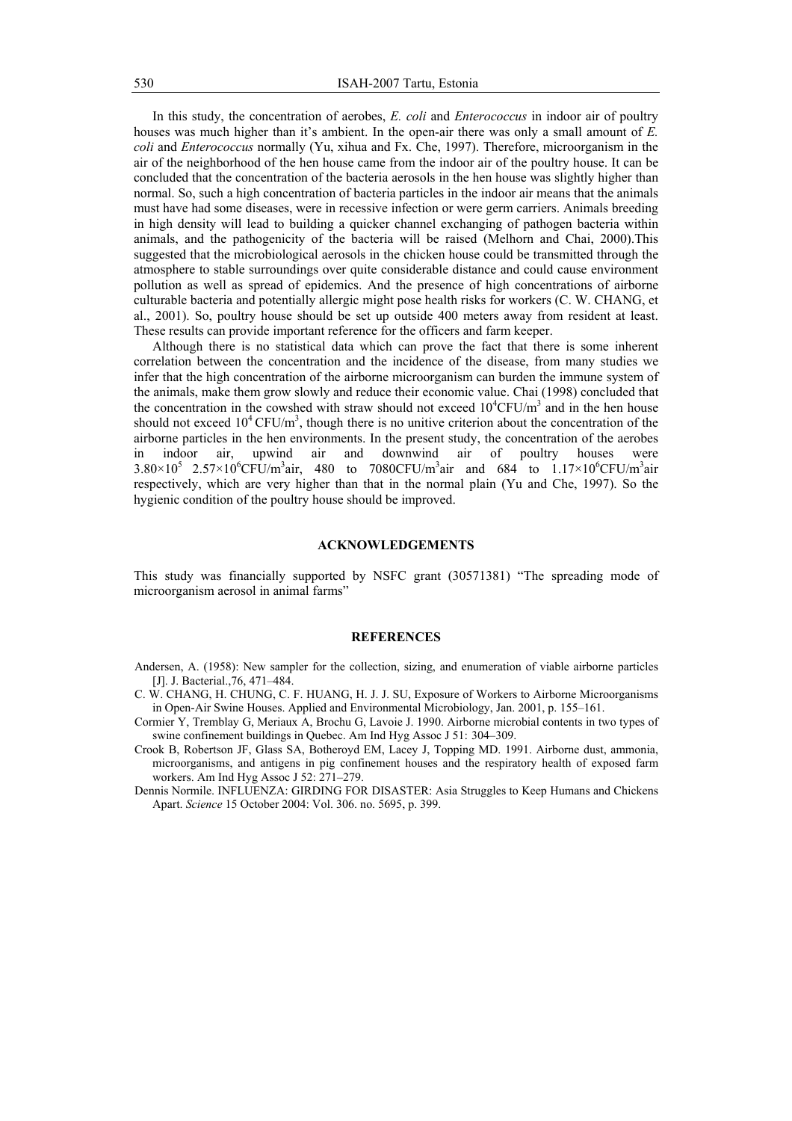In this study, the concentration of aerobes, *E. coli* and *Enterococcus* in indoor air of poultry houses was much higher than it's ambient. In the open-air there was only a small amount of *E. coli* and *Enterococcus* normally (Yu, xihua and Fx. Che, 1997). Therefore, microorganism in the air of the neighborhood of the hen house came from the indoor air of the poultry house. It can be concluded that the concentration of the bacteria aerosols in the hen house was slightly higher than normal. So, such a high concentration of bacteria particles in the indoor air means that the animals must have had some diseases, were in recessive infection or were germ carriers. Animals breeding in high density will lead to building a quicker channel exchanging of pathogen bacteria within animals, and the pathogenicity of the bacteria will be raised (Melhorn and Chai, 2000).This suggested that the microbiological aerosols in the chicken house could be transmitted through the atmosphere to stable surroundings over quite considerable distance and could cause environment pollution as well as spread of epidemics. And the presence of high concentrations of airborne culturable bacteria and potentially allergic might pose health risks for workers (C. W. CHANG, et al., 2001). So, poultry house should be set up outside 400 meters away from resident at least. These results can provide important reference for the officers and farm keeper.

Although there is no statistical data which can prove the fact that there is some inherent correlation between the concentration and the incidence of the disease, from many studies we infer that the high concentration of the airborne microorganism can burden the immune system of the animals, make them grow slowly and reduce their economic value. Chai (1998) concluded that the concentration in the cowshed with straw should not exceed  $10^4$ CFU/m<sup>3</sup> and in the hen house should not exceed  $10^4$  CFU/m<sup>3</sup>, though there is no unitive criterion about the concentration of the airborne particles in the hen environments. In the present study, the concentration of the aerobes in indoor air, upwind air and downwind air of poultry houses were  $3.80 \times 10^5$  2.57×10<sup>6</sup>CFU/m<sup>3</sup>air, 480 to 7080CFU/m<sup>3</sup>air and 684 to 1.17×10<sup>6</sup>CFU/m<sup>3</sup>air respectively, which are very higher than that in the normal plain (Yu and Che, 1997). So the hygienic condition of the poultry house should be improved.

#### **ACKNOWLEDGEMENTS**

This study was financially supported by NSFC grant (30571381) "The spreading mode of microorganism aerosol in animal farms"

#### **REFERENCES**

- Andersen, A. (1958): New sampler for the collection, sizing, and enumeration of viable airborne particles [J]. J. Bacterial., 76, 471–484.
- C. W. CHANG, H. CHUNG, C. F. HUANG, H. J. J. SU, Exposure of Workers to Airborne Microorganisms in Open-Air Swine Houses. Applied and Environmental Microbiology, Jan. 2001, p. 155–161.
- Cormier Y, Tremblay G, Meriaux A, Brochu G, Lavoie J. 1990. Airborne microbial contents in two types of swine confinement buildings in Quebec. Am Ind Hyg Assoc J 51: 304–309.
- Crook B, Robertson JF, Glass SA, Botheroyd EM, Lacey J, Topping MD. 1991. Airborne dust, ammonia, microorganisms, and antigens in pig confinement houses and the respiratory health of exposed farm workers. Am Ind Hyg Assoc J 52: 271–279.
- Dennis Normile. INFLUENZA: GIRDING FOR DISASTER: Asia Struggles to Keep Humans and Chickens Apart. *Science* 15 October 2004: Vol. 306. no. 5695, p. 399.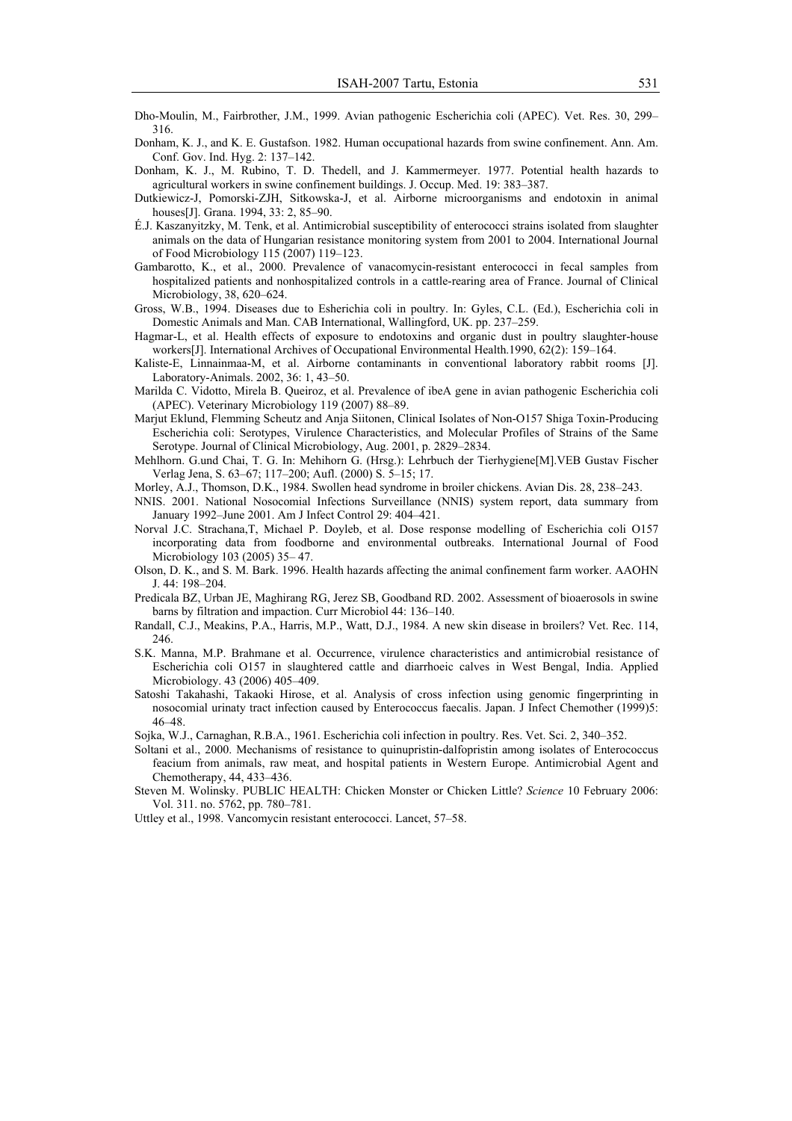- Dho-Moulin, M., Fairbrother, J.M., 1999. Avian pathogenic Escherichia coli (APEC). Vet. Res. 30, 299– 316.
- Donham, K. J., and K. E. Gustafson. 1982. Human occupational hazards from swine confinement. Ann. Am. Conf. Gov. Ind. Hyg. 2: 137–142.
- Donham, K. J., M. Rubino, T. D. Thedell, and J. Kammermeyer. 1977. Potential health hazards to agricultural workers in swine confinement buildings. J. Occup. Med. 19: 383–387.
- Dutkiewicz-J, Pomorski-ZJH, Sitkowska-J, et al. Airborne microorganisms and endotoxin in animal houses[J]. Grana. 1994, 33: 2, 85–90.
- É.J. Kaszanyitzky, M. Tenk, et al. Antimicrobial susceptibility of enterococci strains isolated from slaughter animals on the data of Hungarian resistance monitoring system from 2001 to 2004. International Journal of Food Microbiology 115 (2007) 119–123.
- Gambarotto, K., et al., 2000. Prevalence of vanacomycin-resistant enterococci in fecal samples from hospitalized patients and nonhospitalized controls in a cattle-rearing area of France. Journal of Clinical Microbiology, 38, 620–624.
- Gross, W.B., 1994. Diseases due to Esherichia coli in poultry. In: Gyles, C.L. (Ed.), Escherichia coli in Domestic Animals and Man. CAB International, Wallingford, UK. pp. 237–259.
- Hagmar-L, et al. Health effects of exposure to endotoxins and organic dust in poultry slaughter-house workers[J]. International Archives of Occupational Environmental Health.1990, 62(2): 159–164.
- Kaliste-E, Linnainmaa-M, et al. Airborne contaminants in conventional laboratory rabbit rooms [J]. Laboratory-Animals. 2002, 36: 1, 43–50.
- Marilda C. Vidotto, Mirela B. Queiroz, et al. Prevalence of ibeA gene in avian pathogenic Escherichia coli (APEC). Veterinary Microbiology 119 (2007) 88–89.
- Marjut Eklund, Flemming Scheutz and Anja Siitonen, Clinical Isolates of Non-O157 Shiga Toxin-Producing Escherichia coli: Serotypes, Virulence Characteristics, and Molecular Profiles of Strains of the Same Serotype. Journal of Clinical Microbiology, Aug. 2001, p. 2829–2834.
- Mehlhorn. G.und Chai, T. G. In: Mehihorn G. (Hrsg.): Lehrbuch der Tierhygiene[M].VEB Gustav Fischer Verlag Jena, S. 63–67; 117–200; Aufl. (2000) S. 5–15; 17.
- Morley, A.J., Thomson, D.K., 1984. Swollen head syndrome in broiler chickens. Avian Dis. 28, 238–243.
- NNIS. 2001. National Nosocomial Infections Surveillance (NNIS) system report, data summary from January 1992–June 2001. Am J Infect Control 29: 404–421.
- Norval J.C. Strachana,T, Michael P. Doyleb, et al. Dose response modelling of Escherichia coli O157 incorporating data from foodborne and environmental outbreaks. International Journal of Food Microbiology 103 (2005) 35– 47.
- Olson, D. K., and S. M. Bark. 1996. Health hazards affecting the animal confinement farm worker. AAOHN J. 44: 198–204.
- Predicala BZ, Urban JE, Maghirang RG, Jerez SB, Goodband RD. 2002. Assessment of bioaerosols in swine barns by filtration and impaction. Curr Microbiol 44: 136–140.
- Randall, C.J., Meakins, P.A., Harris, M.P., Watt, D.J., 1984. A new skin disease in broilers? Vet. Rec. 114, 246.
- S.K. Manna, M.P. Brahmane et al. Occurrence, virulence characteristics and antimicrobial resistance of Escherichia coli O157 in slaughtered cattle and diarrhoeic calves in West Bengal, India. Applied Microbiology. 43 (2006) 405–409.
- Satoshi Takahashi, Takaoki Hirose, et al. Analysis of cross infection using genomic fingerprinting in nosocomial urinaty tract infection caused by Enterococcus faecalis. Japan. J Infect Chemother (1999)5: 46–48.
- Sojka, W.J., Carnaghan, R.B.A., 1961. Escherichia coli infection in poultry. Res. Vet. Sci. 2, 340–352.
- Soltani et al., 2000. Mechanisms of resistance to quinupristin-dalfopristin among isolates of Enterococcus feacium from animals, raw meat, and hospital patients in Western Europe. Antimicrobial Agent and Chemotherapy, 44, 433–436.
- Steven M. Wolinsky. PUBLIC HEALTH: Chicken Monster or Chicken Little? *Science* 10 February 2006: Vol. 311. no. 5762, pp. 780–781.
- Uttley et al., 1998. Vancomycin resistant enterococci. Lancet, 57–58.